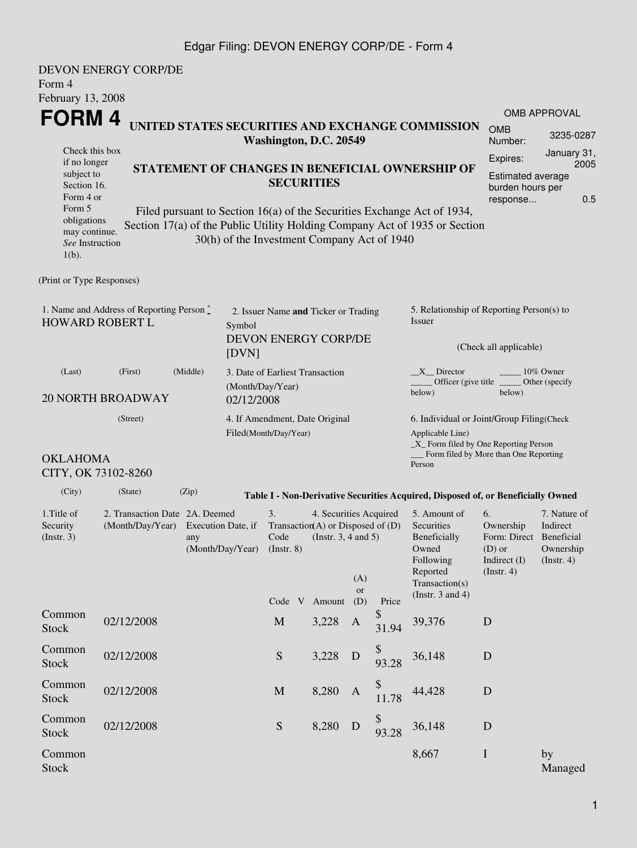### Edgar Filing: DEVON ENERGY CORP/DE - Form 4

| Form 4<br>February 13, 2008                                                                                                     | <b>DEVON ENERGY CORP/DE</b>                                                                                                                                                                              |                                                                                                  |                        |                                                                  |                                                                                                            |                         |             |                                                                                                                                                              |                                                                                       |                                                      |  |  |
|---------------------------------------------------------------------------------------------------------------------------------|----------------------------------------------------------------------------------------------------------------------------------------------------------------------------------------------------------|--------------------------------------------------------------------------------------------------|------------------------|------------------------------------------------------------------|------------------------------------------------------------------------------------------------------------|-------------------------|-------------|--------------------------------------------------------------------------------------------------------------------------------------------------------------|---------------------------------------------------------------------------------------|------------------------------------------------------|--|--|
| <b>FORM4</b><br>Check this box                                                                                                  | UNITED STATES SECURITIES AND EXCHANGE COMMISSION                                                                                                                                                         |                                                                                                  | Washington, D.C. 20549 |                                                                  | OMB APPROVAL<br><b>OMB</b><br>3235-0287<br>Number:<br>January 31,<br>Expires:                              |                         |             |                                                                                                                                                              |                                                                                       |                                                      |  |  |
| if no longer<br>subject to<br>Section 16.<br>Form 4 or<br>Form 5<br>obligations<br>may continue.<br>See Instruction<br>$1(b)$ . | STATEMENT OF CHANGES IN BENEFICIAL OWNERSHIP OF<br>Filed pursuant to Section 16(a) of the Securities Exchange Act of 1934,<br>Section 17(a) of the Public Utility Holding Company Act of 1935 or Section |                                                                                                  |                        | <b>SECURITIES</b><br>30(h) of the Investment Company Act of 1940 | 2005<br>Estimated average<br>burden hours per<br>0.5<br>response                                           |                         |             |                                                                                                                                                              |                                                                                       |                                                      |  |  |
| (Print or Type Responses)                                                                                                       |                                                                                                                                                                                                          |                                                                                                  |                        |                                                                  |                                                                                                            |                         |             |                                                                                                                                                              |                                                                                       |                                                      |  |  |
| 1. Name and Address of Reporting Person $\stackrel{*}{\mathbb{L}}$<br><b>HOWARD ROBERT L</b><br>Symbol<br>[DVN]                 |                                                                                                                                                                                                          |                                                                                                  |                        | 2. Issuer Name and Ticker or Trading<br>DEVON ENERGY CORP/DE     |                                                                                                            |                         |             | 5. Relationship of Reporting Person(s) to<br>Issuer<br>(Check all applicable)                                                                                |                                                                                       |                                                      |  |  |
| (Middle)<br>(First)<br>(Last)<br>(Month/Day/Year)<br><b>20 NORTH BROADWAY</b><br>02/12/2008                                     |                                                                                                                                                                                                          |                                                                                                  |                        | 3. Date of Earliest Transaction                                  |                                                                                                            |                         |             | $X$ Director<br>10% Owner<br>Officer (give title<br>Other (specify<br>below)<br>below)                                                                       |                                                                                       |                                                      |  |  |
| <b>OKLAHOMA</b><br>CITY, OK 73102-8260                                                                                          | (Street)                                                                                                                                                                                                 |                                                                                                  |                        | 4. If Amendment, Date Original<br>Filed(Month/Day/Year)          |                                                                                                            |                         |             | 6. Individual or Joint/Group Filing(Check<br>Applicable Line)<br>$\_X$ Form filed by One Reporting Person<br>Form filed by More than One Reporting<br>Person |                                                                                       |                                                      |  |  |
| (City)                                                                                                                          | (State)                                                                                                                                                                                                  | (Zip)                                                                                            |                        |                                                                  |                                                                                                            |                         |             | Table I - Non-Derivative Securities Acquired, Disposed of, or Beneficially Owned                                                                             |                                                                                       |                                                      |  |  |
| 1. Title of<br>Security<br>(Insert. 3)                                                                                          |                                                                                                                                                                                                          | 2. Transaction Date 2A. Deemed<br>(Month/Day/Year) Execution Date, if<br>any<br>(Month/Day/Year) |                        |                                                                  | 4. Securities Acquired<br>Transaction(A) or Disposed of $(D)$<br>Code (Instr. 3, 4 and 5)<br>Code V Amount | (A)<br><b>or</b><br>(D) | Price       | 5. Amount of<br>Securities<br>Beneficially<br>Owned<br>Following<br>Reported<br>Transaction(s)<br>(Instr. $3$ and $4$ )                                      | 6.<br>Ownership<br>Form: Direct Beneficial<br>$(D)$ or<br>Indirect (I)<br>(Insert. 4) | 7. Nature of<br>Indirect<br>Ownership<br>(Insert. 4) |  |  |
| Common<br><b>Stock</b>                                                                                                          | 02/12/2008                                                                                                                                                                                               |                                                                                                  |                        | $\mathbf M$                                                      | 3,228                                                                                                      | $\mathbf{A}$            | \$<br>31.94 | 39,376                                                                                                                                                       | D                                                                                     |                                                      |  |  |
| Common<br><b>Stock</b>                                                                                                          | 02/12/2008                                                                                                                                                                                               |                                                                                                  |                        | ${\mathbf S}$                                                    | 3,228                                                                                                      | D                       | 93.28       | 36,148                                                                                                                                                       | D                                                                                     |                                                      |  |  |
| Common<br><b>Stock</b>                                                                                                          | 02/12/2008                                                                                                                                                                                               |                                                                                                  |                        | M                                                                | 8,280                                                                                                      | $\mathbf{A}$            | \$<br>11.78 | 44,428                                                                                                                                                       | $\mathbf D$                                                                           |                                                      |  |  |
| Common<br><b>Stock</b>                                                                                                          | 02/12/2008                                                                                                                                                                                               |                                                                                                  |                        | S                                                                | 8,280                                                                                                      | D                       | 93.28       | 36,148                                                                                                                                                       | D                                                                                     |                                                      |  |  |
| Common<br><b>Stock</b>                                                                                                          |                                                                                                                                                                                                          |                                                                                                  |                        |                                                                  |                                                                                                            |                         |             | 8,667                                                                                                                                                        | $\mathbf I$                                                                           | by<br>Managed                                        |  |  |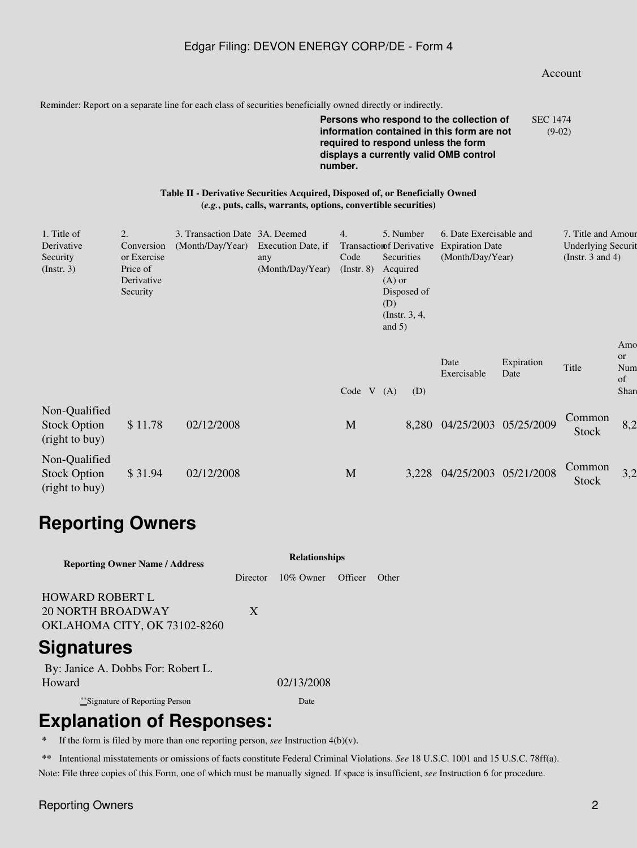### Edgar Filing: DEVON ENERGY CORP/DE - Form 4

#### Account

Reminder: Report on a separate line for each class of securities beneficially owned directly or indirectly.

**Persons who respond to the collection of information contained in this form are not required to respond unless the form displays a currently valid OMB control number.** SEC 1474 (9-02)

#### **Table II - Derivative Securities Acquired, Disposed of, or Beneficially Owned (***e.g.***, puts, calls, warrants, options, convertible securities)**

| 1. Title of<br>Derivative<br>Security<br>$($ Instr. 3 $)$ | 2.<br>Conversion<br>or Exercise<br>Price of<br>Derivative<br>Security | 3. Transaction Date 3A. Deemed<br>(Month/Day/Year) | Execution Date, if<br>any<br>(Month/Day/Year) | 4.<br><b>Transaction Derivative</b><br>Code<br>$($ Instr. $8)$ | Acquired<br>$(A)$ or<br>(D)<br>and $5)$ | 5. Number<br>Securities<br>Disposed of<br>$($ Instr. 3, 4, | 6. Date Exercisable and<br><b>Expiration Date</b><br>(Month/Day/Year) |                    | 7. Title and Amour<br><b>Underlying Securit</b><br>(Instr. 3 and 4) |                                            |
|-----------------------------------------------------------|-----------------------------------------------------------------------|----------------------------------------------------|-----------------------------------------------|----------------------------------------------------------------|-----------------------------------------|------------------------------------------------------------|-----------------------------------------------------------------------|--------------------|---------------------------------------------------------------------|--------------------------------------------|
|                                                           |                                                                       |                                                    |                                               | Code                                                           | V(A)                                    | (D)                                                        | Date<br>Exercisable                                                   | Expiration<br>Date | Title                                                               | Amo<br><sub>or</sub><br>Num<br>of<br>Share |
| Non-Qualified<br><b>Stock Option</b><br>(right to buy)    | \$11.78                                                               | 02/12/2008                                         |                                               | M                                                              |                                         |                                                            | 8,280 04/25/2003 05/25/2009                                           |                    | Common<br>Stock                                                     | 8,2                                        |
| Non-Qualified<br><b>Stock Option</b><br>(right to buy)    | \$31.94                                                               | 02/12/2008                                         |                                               | M                                                              |                                         | 3,228                                                      | 04/25/2003                                                            | 05/21/2008         | Common<br>Stock                                                     | 3,2                                        |

# **Reporting Owners**

| <b>Reporting Owner Name / Address</b> | <b>Relationships</b> |              |         |       |  |  |  |  |
|---------------------------------------|----------------------|--------------|---------|-------|--|--|--|--|
|                                       | Director             | $10\%$ Owner | Officer | Other |  |  |  |  |
| <b>HOWARD ROBERT L</b>                |                      |              |         |       |  |  |  |  |
| <b>20 NORTH BROADWAY</b>              | X                    |              |         |       |  |  |  |  |
| OKLAHOMA CITY, OK 73102-8260          |                      |              |         |       |  |  |  |  |
| <b>Signatures</b>                     |                      |              |         |       |  |  |  |  |
| By: Janice A. Dobbs For: Robert L.    |                      |              |         |       |  |  |  |  |
| Howard                                |                      | 02/13/2008   |         |       |  |  |  |  |
| ***Signature of Reporting Person      |                      | Date         |         |       |  |  |  |  |

## **Explanation of Responses:**

If the form is filed by more than one reporting person, *see* Instruction  $4(b)(v)$ .

**\*\*** Intentional misstatements or omissions of facts constitute Federal Criminal Violations. *See* 18 U.S.C. 1001 and 15 U.S.C. 78ff(a). Note: File three copies of this Form, one of which must be manually signed. If space is insufficient, *see* Instruction 6 for procedure.